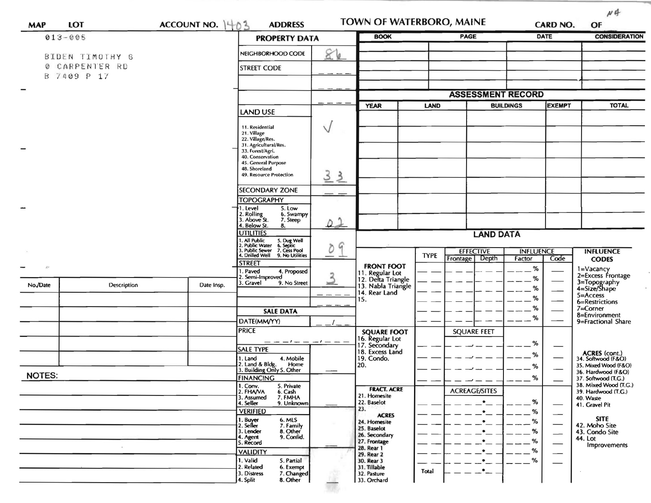| <b>MAP</b>           | <b>LOT</b>      | ACCOUNT NO. $1 + 0.3$ | <b>ADDRESS</b>                                                                                                                  | <b>BOOK</b>  |                                                           | <b>TOWN OF WATERBORO, MAINE</b><br><b>PAGE</b> |                                                  | <b>CARD NO.</b><br><b>DATE</b> | OF<br><b>CONSIDERATION</b> |                                              |
|----------------------|-----------------|-----------------------|---------------------------------------------------------------------------------------------------------------------------------|--------------|-----------------------------------------------------------|------------------------------------------------|--------------------------------------------------|--------------------------------|----------------------------|----------------------------------------------|
| $013 - 005$          |                 |                       | <b>PROPERTY DATA</b>                                                                                                            |              |                                                           |                                                |                                                  |                                |                            |                                              |
|                      | BIDEN TIMOTHY G |                       | NEIGHBORHOOD CODE                                                                                                               | 86           |                                                           |                                                |                                                  |                                |                            |                                              |
| CARPENTER RD<br>Ø    |                 |                       | <b>STREET CODE</b>                                                                                                              |              |                                                           |                                                |                                                  |                                |                            |                                              |
| В                    | 7409 P 17       |                       |                                                                                                                                 |              |                                                           |                                                |                                                  |                                |                            |                                              |
|                      |                 |                       |                                                                                                                                 |              |                                                           | <b>ASSESSMENT RECORD</b>                       |                                                  |                                |                            |                                              |
|                      |                 |                       |                                                                                                                                 |              | <b>YEAR</b>                                               |                                                | <b>EXEMPT</b><br><b>LAND</b><br><b>BUILDINGS</b> |                                |                            | <b>TOTAL</b>                                 |
|                      |                 |                       | <b>LAND USE</b>                                                                                                                 |              |                                                           |                                                |                                                  |                                |                            |                                              |
|                      |                 |                       | 11. Residential                                                                                                                 | $\vee$       |                                                           |                                                |                                                  |                                |                            |                                              |
|                      |                 |                       | 21. Village<br>22. Village/Res.                                                                                                 |              |                                                           |                                                |                                                  |                                |                            |                                              |
|                      |                 |                       | 31. Agricultural/Res.<br>33. Forest/Agri.                                                                                       |              |                                                           |                                                |                                                  |                                |                            |                                              |
|                      |                 |                       | 40. Conservation                                                                                                                |              |                                                           |                                                |                                                  |                                |                            |                                              |
|                      |                 |                       | 45. General Purpose<br>48. Shoreland                                                                                            |              |                                                           |                                                |                                                  |                                |                            |                                              |
|                      |                 |                       | 49. Resource Protection                                                                                                         | 33           |                                                           |                                                |                                                  |                                |                            |                                              |
|                      |                 |                       | <b>SECONDARY ZONE</b>                                                                                                           | $\sim$       |                                                           |                                                |                                                  |                                |                            |                                              |
|                      |                 |                       | <b>TOPOGRAPHY</b>                                                                                                               |              |                                                           |                                                |                                                  |                                |                            |                                              |
|                      |                 |                       | †1. Level<br>5. Low<br>2. Rolling<br>3. Above St.<br>6. Swampy                                                                  |              |                                                           |                                                |                                                  |                                |                            |                                              |
|                      |                 |                       | 7. Steep<br>4. Below St.<br>8.                                                                                                  | $\Omega$     |                                                           |                                                |                                                  |                                |                            |                                              |
|                      |                 |                       | <b>UTILITIES</b>                                                                                                                |              | <b>LAND DATA</b>                                          |                                                |                                                  |                                |                            |                                              |
|                      |                 |                       | 1. All Public<br>2. Public Water<br>1. All Public 5. Dug Well<br>2. Public Water 6. Septic<br>3. Public Sewer 7. Cess Pool<br>G |              |                                                           |                                                | <b>EFFECTIVE</b>                                 | <b>INFLUENCE</b>               |                            | <b>INFLUENCE</b>                             |
|                      |                 |                       | 4. Drilled Well<br>9. No Utilities                                                                                              |              |                                                           | <b>TYPE</b>                                    | Depth<br>Frontage                                | Factor                         | Code                       | <b>CODES</b>                                 |
| $\ddot{\phantom{0}}$ |                 |                       | <b>STREET</b><br>1. Paved<br>4. Proposed                                                                                        |              | <b>FRONT FOOT</b><br>11. Regular Lot                      |                                                |                                                  | %                              |                            | 1=Vacancy                                    |
|                      |                 |                       | 2. Semi-Improved<br>3. Gravel<br>9. No Street                                                                                   | $\mathbf{3}$ | 12. Delta Triangle<br>13. Nabla Triangle<br>14. Rear Land |                                                |                                                  | %                              |                            | 2=Excess Frontage                            |
| No./Date             | Description     | Date Insp.            |                                                                                                                                 |              |                                                           |                                                |                                                  | %                              |                            | 3=Topography<br>4=Size/Shape<br>$5 =$ Access |
|                      |                 |                       |                                                                                                                                 |              | 15.                                                       |                                                |                                                  | %                              |                            | 6=Restrictions                               |
|                      |                 |                       | <b>SALE DATA</b>                                                                                                                |              |                                                           |                                                |                                                  | %<br>%                         |                            | $7 =$ Corner<br>8=Environment                |
|                      |                 |                       | DATE(MM/YY)                                                                                                                     |              |                                                           |                                                |                                                  |                                |                            | 9=Fractional Share                           |
|                      |                 |                       | <b>PRICE</b>                                                                                                                    |              | <b>SQUARE FOOT</b><br>16. Regular Lot                     |                                                | <b>SQUARE FEET</b>                               |                                |                            |                                              |
|                      |                 |                       | — — — 1 — — — 1 — — —<br><b>SALE TYPE</b>                                                                                       |              | 17. Secondary                                             |                                                |                                                  | ℅                              |                            |                                              |
|                      |                 |                       | 1. Land<br>4. Mobile                                                                                                            |              | 18. Excess Land<br>19. Condo.                             |                                                |                                                  | %                              |                            | ACRES (cont.)<br>34. Softwood (F&O)          |
|                      |                 |                       | 2. Land & Bldg.<br>Home<br>3. Building Only 5. Other                                                                            |              | 20.                                                       |                                                |                                                  | %                              |                            | 35. Mixed Wood (F&O)<br>36. Hardwood (F&O)   |
| <b>NOTES:</b>        |                 |                       | <b>FINANCING</b>                                                                                                                |              |                                                           |                                                |                                                  | %                              |                            | 37. Softwood (T.G.)                          |
|                      |                 |                       | 1. Conv.<br>5. Private<br>2. FHAVA<br>6. Cash                                                                                   |              | <b>FRACT. ACRE</b><br>21. Homesite                        |                                                | <b>ACREAGE/SITES</b>                             |                                |                            | 38. Mixed Wood (T.G.)<br>39. Hardwood (T.G.) |
|                      |                 |                       | 7. FMHA<br>3. Assumed<br>4. Seller<br>9. Unknown                                                                                |              | 22. Baselot                                               |                                                |                                                  | $\%$                           |                            | 40. Waste<br>41. Gravel Pit                  |
|                      |                 |                       | <b>VERIFIED</b>                                                                                                                 |              | 23.<br><b>ACRES</b>                                       |                                                |                                                  | %                              |                            |                                              |
|                      |                 |                       | 1. Buyer<br>2. Seller<br>6. MLS<br>7. Family                                                                                    |              | 24. Homesite<br>25. Baselot                               |                                                |                                                  | %                              |                            | <b>SITE</b><br>42. Moho Site                 |
|                      |                 |                       | 8. Other<br>3. Lender<br>9. Confid.<br>4. Agent                                                                                 |              | 26. Secondary                                             |                                                |                                                  | $\%$                           |                            | 43. Condo Site<br>44. Lot                    |
|                      |                 |                       | 5. Record                                                                                                                       |              | 27. Frontage<br>28. Rear 1                                |                                                |                                                  | %                              |                            | Improvements                                 |
|                      |                 |                       | <b>VALIDITY</b><br>1. Valid<br>5. Partial                                                                                       |              | 29. Rear 2<br>30. Rear 3                                  |                                                |                                                  | %<br>%                         |                            |                                              |
|                      |                 |                       | 2. Related<br>6. Exempt                                                                                                         |              | 31. Tillable                                              | Total                                          |                                                  |                                |                            |                                              |
|                      |                 |                       | 3. Distress<br>7. Changed<br>8. Other<br>4. Split                                                                               |              | 32. Pasture<br>33. Orchard                                |                                                |                                                  |                                |                            |                                              |